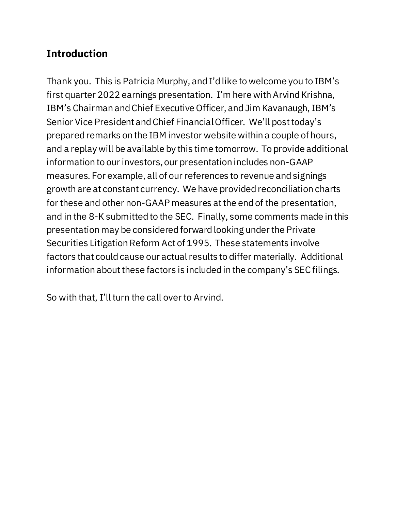## **Introduction**

Thank you. This is Patricia Murphy, and I'd like to welcome you to IBM's first quarter 2022 earnings presentation. I'm here with Arvind Krishna, IBM's Chairman and Chief Executive Officer, and Jim Kavanaugh, IBM's Senior Vice President and Chief Financial Officer. We'll post today's prepared remarks on the IBM investor website within a couple of hours, and a replay will be available by this time tomorrow. To provide additional information to our investors, our presentation includes non-GAAP measures. For example, all of our references to revenue and signings growth are at constant currency. We have provided reconciliation charts for these and other non-GAAP measures at the end of the presentation, and in the 8-K submitted to the SEC. Finally, some comments made in this presentation may be considered forward looking under the Private Securities Litigation Reform Act of 1995. These statements involve factors that could cause our actual results to differ materially. Additional information about these factors is included in the company's SEC filings.

So with that, I'll turn the call over to Arvind.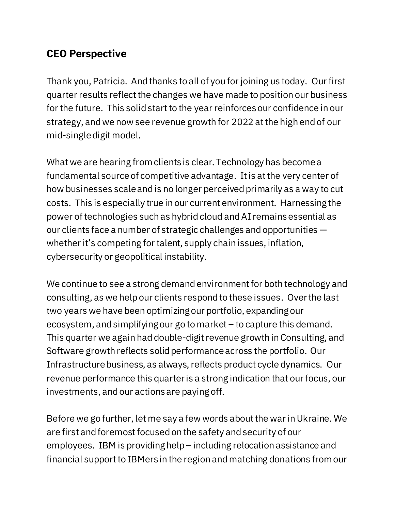### **CEO Perspective**

Thank you, Patricia. And thanks to all of you for joining us today. Our first quarter results reflect the changes we have made to position our business for the future. This solid start to the year reinforces our confidence in our strategy, and we now see revenue growth for 2022 at the high end of our mid-single digit model.

What we are hearing from clients is clear. Technology has become a fundamental source of competitive advantage. It is at the very center of how businesses scale and is no longer perceived primarily as a way to cut costs. This is especially true in our current environment. Harnessing the power of technologies such as hybrid cloud andAI remains essential as our clients face a number of strategic challenges and opportunities whether it's competing for talent, supply chain issues, inflation, cybersecurity or geopolitical instability.

We continue to see a strong demand environment for both technology and consulting, as we help our clients respond to these issues. Over the last two years we have been optimizing our portfolio, expanding our ecosystem, and simplifying our go to market – to capture this demand. This quarter we again had double-digit revenue growth in Consulting, and Software growth reflects solid performance across the portfolio. Our Infrastructure business, as always, reflects product cycle dynamics. Our revenue performance this quarter is a strong indication that our focus, our investments, and our actions are paying off.

Before we go further, let me say a few words about the war in Ukraine. We are first and foremost focused on the safety and security of our employees. IBM is providing help  $-$  including relocation assistance and financial support to IBMers in the region and matching donations from our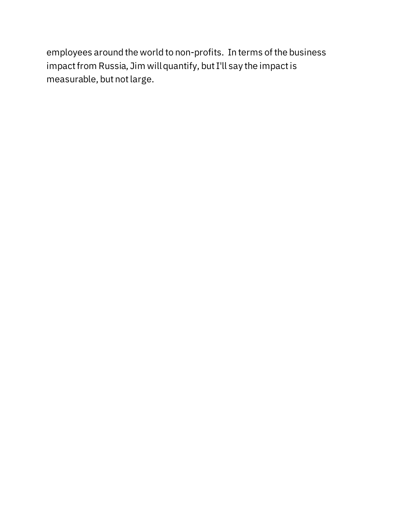employees around the world to non-profits. In terms of the business impact from Russia, Jim will quantify, but I'll say the impact is measurable, but not large.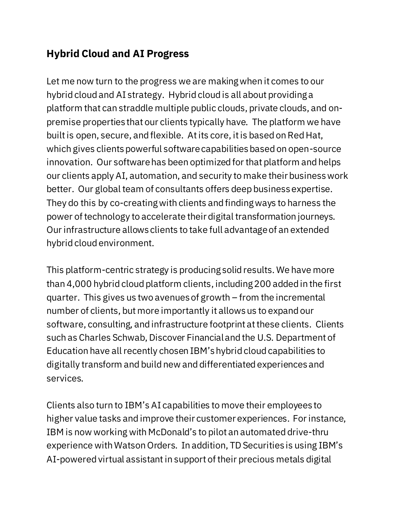## **Hybrid Cloud and AI Progress**

Let me now turn to the progress we are making when it comes to our hybrid cloud and AI strategy. Hybrid cloud is all about providing a platform that can straddle multiple public clouds, private clouds, and onpremise properties that our clients typically have. The platform we have built is open, secure, and flexible. At its core, itis based on Red Hat, which gives clients powerful software capabilities based on open-source innovation. Our software has been optimized for that platform and helps our clients apply AI, automation, and security to make their business work better. Our global team of consultants offers deep business expertise. They do this by co-creating with clients and finding ways to harness the power of technology to accelerate their digital transformation journeys. Our infrastructure allows clients to take full advantage of an extended hybrid cloud environment.

This platform-centric strategy is producing solid results. We have more than 4,000 hybrid cloud platform clients, including 200 added in the first quarter. This gives us two avenues of growth – from the incremental number of clients, but more importantly it allows us to expand our software, consulting, and infrastructure footprint at these clients. Clients such as Charles Schwab, Discover Financial and the U.S. Department of Education have all recently chosen IBM's hybrid cloud capabilities to digitally transform and build new and differentiated experiences and services.

Clients also turn to IBM's AI capabilities to move their employees to higher value tasks and improve their customer experiences. For instance, IBM is now working with McDonald's to pilot an automated drive-thru experience with Watson Orders. In addition, TD Securities is using IBM's AI-powered virtual assistant in support of their precious metals digital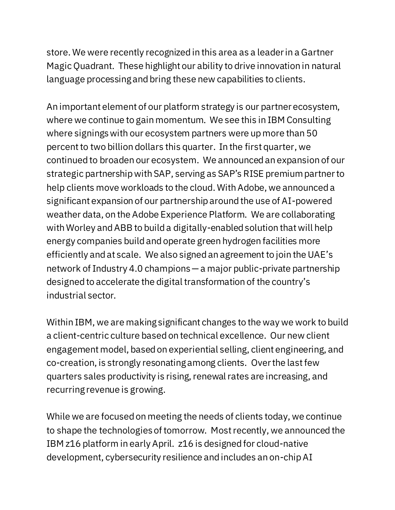store. We were recently recognized in this area as a leader in a Gartner Magic Quadrant. These highlight our ability to drive innovation in natural language processing and bring these new capabilities to clients.

An important element of our platform strategy is our partner ecosystem, where we continue to gain momentum. We see this in IBM Consulting where signings with our ecosystem partners were up more than 50 percent to two billion dollars this quarter. In the first quarter, we continued to broaden our ecosystem. We announced an expansion of our strategic partnership with SAP, serving as SAP's RISE premium partnerto help clients move workloads to the cloud. With Adobe, we announced a significant expansion of our partnership around the use of AI-powered weather data, on the Adobe Experience Platform. We are collaborating with Worley and ABB to build a digitally-enabled solution that will help energy companies build and operate green hydrogen facilities more efficiently and at scale. We also signed an agreement to join the UAE's network of Industry 4.0 champions— a major public-private partnership designed to accelerate the digital transformation of the country's industrial sector.

Within IBM, we are making significant changes to the way we work to build a client-centric culture based on technical excellence. Our new client engagement model, based on experiential selling, client engineering, and co-creation, is strongly resonating among clients. Over the last few quarters sales productivity is rising, renewal rates are increasing, and recurring revenue is growing.

While we are focused on meeting the needs of clients today, we continue to shape the technologies of tomorrow. Most recently, we announced the IBM z16 platform in early April. z16 is designed for cloud-native development, cybersecurity resilience and includes an on-chip AI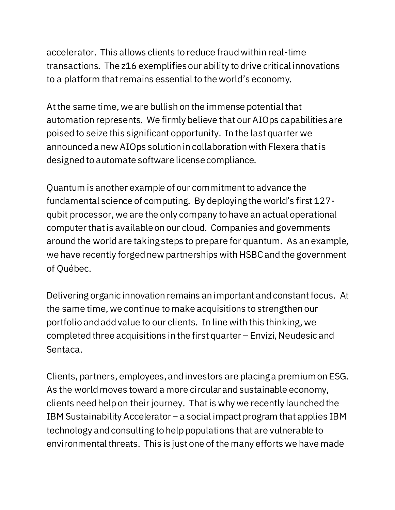accelerator. This allows clients to reduce fraud within real-time transactions. The z16 exemplifies our ability to drive critical innovations to a platform that remains essential to the world's economy.

At the same time, we are bullish on the immense potential that automation represents. We firmly believe that our AIOps capabilities are poised to seize this significant opportunity. In the last quarter we announced a new AIOps solution in collaboration with Flexera that is designed to automate software license compliance.

Quantum is another example of our commitment to advance the fundamental science of computing. By deploying the world's first 127 qubit processor, we are the only company to have an actual operational computer that is available on our cloud. Companies and governments around the world are taking steps to prepare for quantum. As an example, we have recently forged new partnerships with HSBC and the government of Québec.

Delivering organic innovation remains an important and constant focus. At the same time, we continue to make acquisitions to strengthen our portfolio and add value to our clients. In line with this thinking, we completed three acquisitions in the first quarter – Envizi, Neudesic and Sentaca.

Clients, partners, employees,and investors are placing a premium on ESG. As the world moves toward a more circular and sustainable economy, clients need help on their journey. That is why we recently launched the IBM Sustainability Accelerator – a social impact program that applies IBM technology and consulting to help populations that are vulnerable to environmental threats. This is just one of the many efforts we have made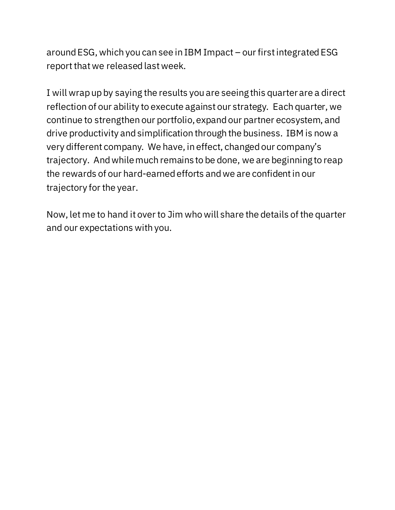around ESG, which you can see in IBM Impact – our first integrated ESG report that we released last week.

I will wrap up by saying the results you are seeing this quarter are a direct reflection of our ability to execute against our strategy. Each quarter, we continue to strengthen our portfolio, expand our partner ecosystem, and drive productivity and simplification through the business. IBM is now a very different company. We have, in effect, changed our company's trajectory. And while much remains to be done, we are beginning to reap the rewards of our hard-earned efforts and we are confident in our trajectory for the year.

Now, let me to hand it over to Jim who will share the details of the quarter and our expectations with you.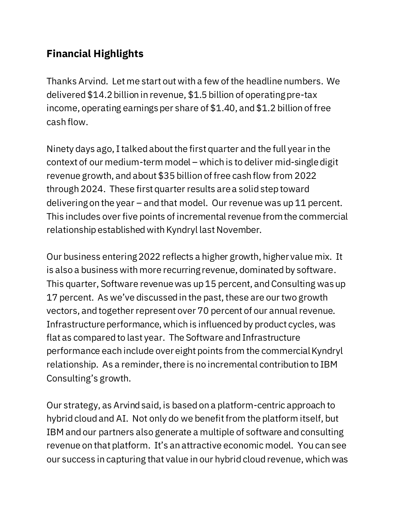# **Financial Highlights**

Thanks Arvind. Let me start out with a few of the headline numbers. We delivered \$14.2billion in revenue, \$1.5 billion of operating pre-tax income, operating earnings per share of \$1.40, and \$1.2 billion of free cash flow.

Ninety days ago, I talked about the first quarter and the full year in the context of our medium-term model – which is to deliver mid-singledigit revenue growth, and about \$35 billion of free cash flow from 2022 through 2024. These first quarter results are a solid step toward delivering on the year – and that model. Our revenue was up 11 percent. This includes over five points of incremental revenue from the commercial relationship established with Kyndryl last November.

Our business entering 2022 reflects a higher growth, higher value mix. It is also a business with more recurring revenue, dominated by software. This quarter, Software revenue was up 15 percent, and Consulting was up 17 percent. As we've discussed in the past, these are our two growth vectors, and together represent over 70 percent of our annual revenue. Infrastructure performance, which is influenced by product cycles, was flat as compared to last year. The Software and Infrastructure performance each include over eight points from the commercial Kyndryl relationship. As a reminder, there is no incremental contribution to IBM Consulting's growth.

Our strategy, as Arvind said, is based on a platform-centric approach to hybrid cloud and AI. Not only do we benefit from the platform itself, but IBM and our partners also generate a multiple of software and consulting revenue on that platform. It's an attractive economic model. You can see our success in capturing that value in our hybrid cloud revenue, which was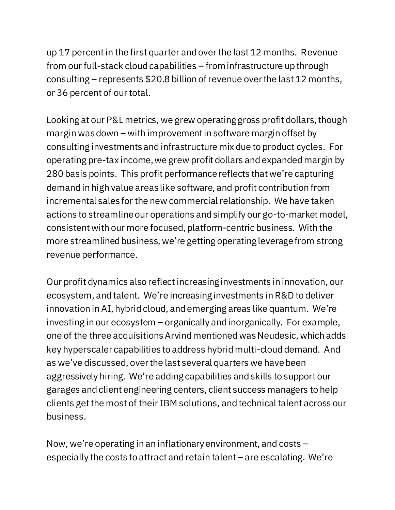up 17 percentin the first quarter and over the last 12 months. Revenue from our full-stack cloud capabilities – from infrastructure up through consulting – represents \$20.8 billion of revenue over the last 12 months, or 36 percent of our total.

Looking at our P&L metrics, we grew operating gross profit dollars, though margin was down – with improvement in software margin offset by consulting investments and infrastructure mix due to product cycles. For operating pre-tax income, we grew profit dollars and expanded margin by 280 basis points. This profit performance reflects that we're capturing demand in high value areas like software, and profit contribution from incremental sales for the new commercial relationship. We have taken actions to streamline our operations and simplify our go-to-market model, consistent with our more focused, platform-centric business. With the more streamlined business, we're getting operating leverage from strong revenue performance.

Our profit dynamics also reflect increasing investments in innovation, our ecosystem, and talent. We're increasing investments in R&D to deliver innovation in AI, hybrid cloud, and emerging areas like quantum. We're investing in our ecosystem – organically and inorganically. For example, one of the three acquisitions Arvind mentioned was Neudesic, which adds key hyperscaler capabilities to address hybrid multi-cloud demand. And as we've discussed, over the last several quarters we have been aggressively hiring. We're adding capabilities and skills to support our garages and client engineering centers, client success managers to help clients get the most of their IBM solutions, and technical talent across our business.

Now, we're operating in an inflationary environment, and costs – especially the costs to attract and retain talent – are escalating. We're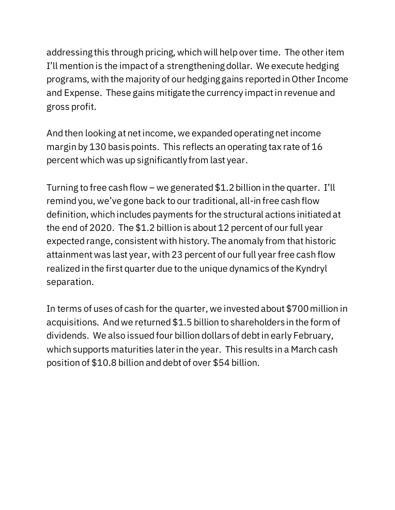addressing this through pricing, which will help over time. The other item I'll mention is the impact of a strengthening dollar. We execute hedging programs, with the majority of our hedging gains reported in Other Income and Expense. These gains mitigatethe currency impact in revenue and gross profit.

And then looking at net income, we expanded operating net income margin by 130 basis points. This reflects an operating tax rate of 16 percentwhich was up significantly from last year.

Turning to free cash flow – we generated  $$1.2$  billion in the quarter. I'll remind you, we've gone back to our traditional, all-in free cash flow definition, which includes payments for the structural actions initiated at the end of 2020. The \$1.2 billion is about 12 percent of our full year expected range, consistent with history. The anomaly from that historic attainment was last year, with 23 percent of our full year free cash flow realized in the first quarter due to the unique dynamics of the Kyndryl separation.

In terms of uses of cash for the quarter, we investedabout \$700 million in acquisitions. And we returned \$1.5 billion to shareholders in the form of dividends. We also issued four billion dollarsof debt in early February, which supports maturities later in the year. This results in a March cash position of \$10.8 billion and debt of over \$54 billion.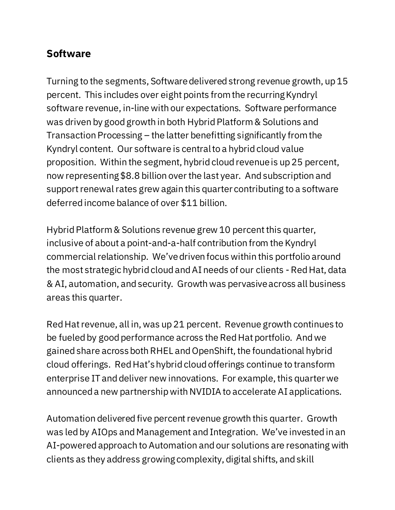#### **Software**

Turning to the segments, Software delivered strong revenue growth, up 15 percent. This includes over eight points from the recurring Kyndryl software revenue, in-line with our expectations. Software performance was driven by good growth in both Hybrid Platform & Solutions and Transaction Processing – the latter benefitting significantly from the Kyndryl content. Our software is central to a hybrid cloud value proposition. Within the segment, hybrid cloud revenue is up 25 percent, now representing \$8.8 billion over the last year. And subscription and support renewal rates grew again this quarter contributing to a software deferred income balance of over \$11 billion.

Hybrid Platform & Solutions revenue grew 10 percent this quarter, inclusive of about a point-and-a-half contribution from the Kyndryl commercial relationship. We've driven focus within this portfolio around the most strategic hybrid cloud and AI needs of our clients -Red Hat, data & AI, automation, and security. Growth was pervasive across all business areas this quarter.

Red Hat revenue, all in, was up 21 percent. Revenue growth continues to be fueled by good performance across the Red Hat portfolio. And we gained share across both RHEL and OpenShift, the foundational hybrid cloud offerings. Red Hat's hybrid cloud offerings continue to transform enterprise IT and deliver new innovations. For example, this quarter we announced a new partnership with NVIDIA to accelerate AI applications.

Automation delivered five percent revenue growth this quarter. Growth was led by AIOps and Management and Integration. We've invested in an AI-powered approach to Automation and our solutions are resonating with clients as they address growing complexity, digital shifts, and skill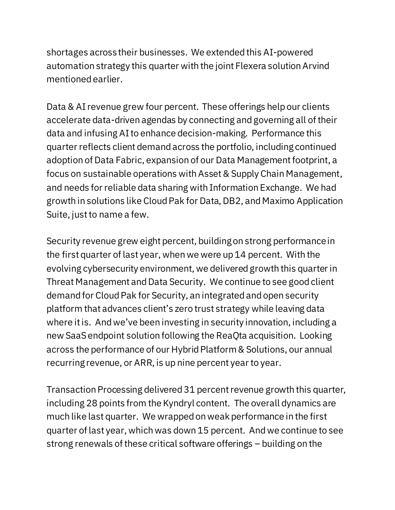shortages across their businesses. We extended this AI-powered automation strategy this quarter with the joint Flexera solution Arvind mentioned earlier.

Data & AI revenue grew four percent. These offerings help our clients accelerate data-driven agendas by connecting and governing all of their data and infusing AI to enhance decision-making. Performance this quarter reflects client demand across the portfolio, including continued adoption of Data Fabric, expansion of our Data Management footprint, a focus on sustainable operations with Asset & Supply Chain Management, and needs for reliable data sharing with Information Exchange. We had growth in solutions like Cloud Pak for Data, DB2, and Maximo Application Suite, just to name a few.

Security revenue grew eight percent, building on strong performance in the first quarter of last year, when we were up 14 percent. With the evolving cybersecurity environment, we delivered growth this quarter in Threat Management and Data Security. We continue to see good client demand for Cloud Pak for Security, an integrated and open security platform that advances client's zero trust strategy while leaving data where it is. And we've been investing in security innovation, including a new SaaS endpoint solution following the ReaQta acquisition. Looking across the performance of our Hybrid Platform & Solutions, our annual recurring revenue, or ARR, is up nine percent year to year.

Transaction Processing delivered 31 percentrevenue growth this quarter, including 28 points from the Kyndryl content. The overall dynamics are much like last quarter. We wrapped on weak performance in the first quarter of last year, which was down 15 percent. And we continue to see strong renewals of these critical software offerings – building on the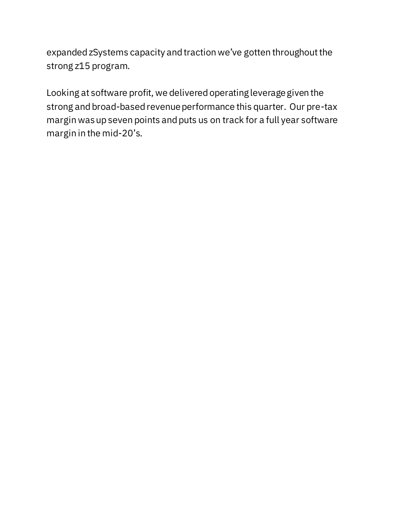expanded zSystems capacity and traction we've gotten throughout the strong z15 program.

Looking at software profit, we delivered operating leverage given the strong and broad-based revenue performance this quarter. Our pre-tax margin was up seven points and puts us on track for a full year software margin in the mid-20's.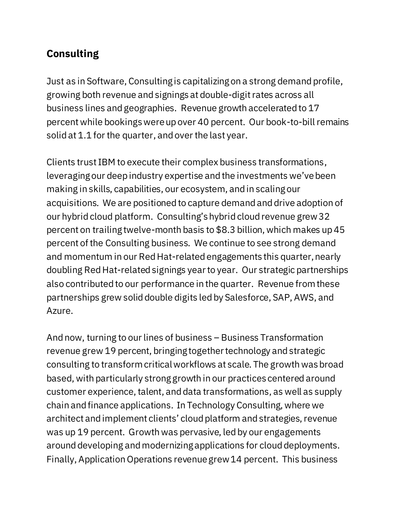## **Consulting**

Just as in Software, Consulting is capitalizing on a strong demand profile, growing both revenue and signings at double-digitrates across all business lines and geographies. Revenue growth accelerated to 17 percentwhile bookings were up over 40 percent. Our book-to-bill remains solid at 1.1 for the quarter, and over the last year.

Clients trust IBM to execute their complex business transformations, leveraging our deep industry expertise and the investments we've been making in skills, capabilities, our ecosystem, and in scaling our acquisitions. We are positioned to capture demand and drive adoption of our hybrid cloud platform. Consulting's hybrid cloud revenue grew 32 percent on trailing twelve-month basis to \$8.3 billion, which makes up 45 percent of the Consulting business. We continue to see strong demand and momentum in our Red Hat-related engagements this quarter, nearly doubling Red Hat-related signings yearto year. Our strategic partnerships also contributed to our performance in the quarter. Revenue from these partnerships grew solid double digits led by Salesforce, SAP, AWS, and Azure.

And now, turning to our lines of business – Business Transformation revenue grew 19 percent, bringing together technology and strategic consulting to transform critical workflows at scale. The growth was broad based, with particularly strong growth in our practices centered around customer experience, talent, and data transformations, as well as supply chain and finance applications. In Technology Consulting, where we architect and implement clients' cloud platform and strategies, revenue was up 19 percent. Growth was pervasive, led by our engagements around developing and modernizing applications for cloud deployments. Finally, Application Operations revenue grew 14 percent. This business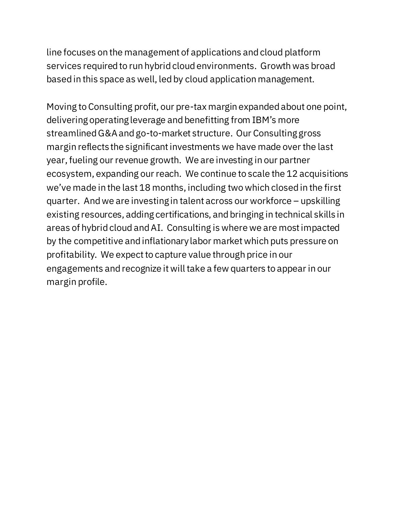line focuses on the management of applications and cloud platform services required to run hybrid cloud environments. Growth was broad based in this space as well, led by cloud application management.

Moving to Consulting profit, our pre-tax margin expanded about one point, delivering operating leverage and benefitting from IBM's more streamlined G&A and go-to-market structure. Our Consulting gross margin reflects the significant investments we have made over the last year, fueling our revenue growth. We are investing in our partner ecosystem, expanding our reach. We continue to scale the 12 acquisitions we've made in the last 18 months, including two which closed in the first quarter. And we are investing in talent across our workforce – upskilling existing resources, adding certifications, and bringing in technical skills in areas of hybrid cloud andAI. Consulting is where we are most impacted by the competitive and inflationary labor market which puts pressure on profitability. We expect to capture value through price in our engagements and recognize it will take a few quarters to appear in our margin profile.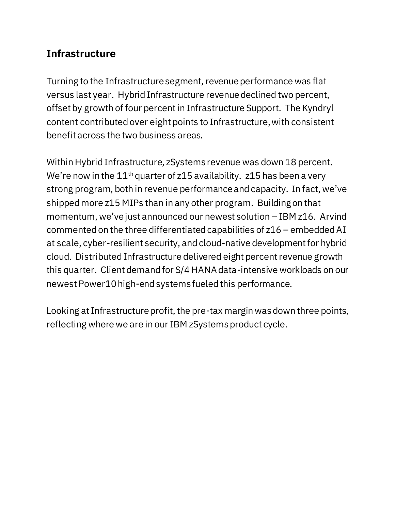### **Infrastructure**

Turning to the Infrastructure segment, revenue performance was flat versus last year. Hybrid Infrastructure revenue declined two percent, offset by growth of four percentin Infrastructure Support. The Kyndryl content contributed over eight points to Infrastructure, with consistent benefit across the two business areas.

Within Hybrid Infrastructure, zSystems revenue was down 18 percent. We're now in the  $11<sup>th</sup>$  quarter of z15 availability. z15 has been a very strong program, both in revenue performance and capacity. In fact, we've shipped more z15 MIPs than in any other program. Building on that momentum, we've just announced our newest solution – IBM z16. Arvind commented on the three differentiated capabilities of z16 – embedded AI at scale, cyber-resilient security, and cloud-native development for hybrid cloud. Distributed Infrastructure delivered eight percentrevenue growth this quarter. Client demand for S/4 HANA data-intensive workloads on our newest Power10 high-end systems fueled this performance.

Looking at Infrastructure profit, the pre-tax margin was down three points, reflecting where we are in our IBM zSystems product cycle.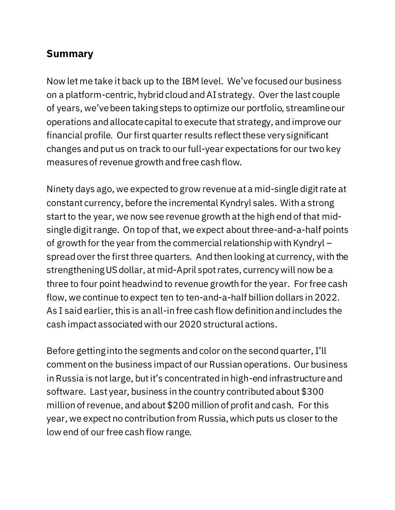### **Summary**

Now let me take it back up to the IBM level. We've focused our business on a platform-centric, hybrid cloud and AI strategy. Over the last couple of years, we've been taking steps to optimize our portfolio, streamline our operations and allocate capital to execute that strategy, and improve our financial profile. Our first quarter results reflect these very significant changes and put us on track to our full-year expectations for our two key measures of revenue growth and free cash flow.

Ninety days ago, we expected to grow revenue at a mid-single digit rate at constant currency, before the incremental Kyndryl sales. With a strong start to the year, we now see revenue growth at the high end of that midsingle digit range. On top of that, we expect about three-and-a-half points of growth for the year from the commercial relationship with Kyndryl – spread over the first three quarters. And then looking at currency, with the strengthening US dollar, at mid-April spot rates, currency will now be a three to four point headwind to revenue growth for the year. For free cash flow, we continue to expect ten to ten-and-a-half billion dollars in 2022. As I said earlier, this is an all-in free cash flow definition and includes the cash impact associated with our 2020 structural actions.

Before getting into the segments and color on the second quarter, I'll comment on the business impact of our Russian operations. Our business in Russia is not large, but it's concentrated in high-end infrastructure and software. Last year, business in the country contributed about \$300 million of revenue, and about \$200 million of profit and cash. For this year, we expect no contribution from Russia, which puts us closer to the low end of our free cash flow range.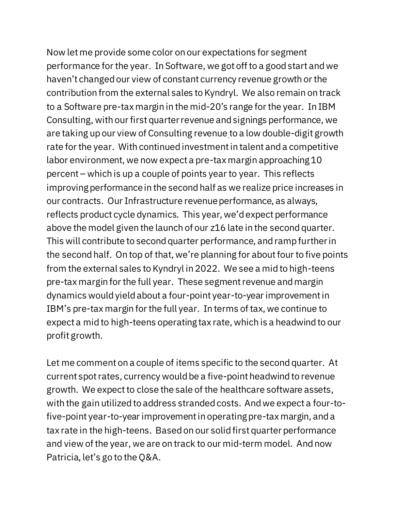Now let me provide some color on our expectations for segment performance for the year. In Software, we got off to a good start andwe haven't changed our view of constant currency revenue growth or the contribution from the external sales to Kyndryl. We also remain on track to a Software pre-tax margin in the mid-20's range for the year. In IBM Consulting, with our first quarter revenue and signings performance, we are taking up our view of Consulting revenue to a low double-digit growth rate for the year. With continued investment in talent and a competitive labor environment, we now expect a pre-tax margin approaching 10 percent – which is up a couple of points year to year. This reflects improving performance in the second half as we realize price increases in our contracts. Our Infrastructure revenue performance, as always, reflects product cycle dynamics. This year, we'd expect performance above the model given the launch of our z16 late in the second quarter. This will contribute to second quarter performance, and ramp further in the second half. On top of that, we're planning for about four to five points from the external sales to Kyndryl in 2022. We see a mid to high-teens pre-tax margin for the full year. These segment revenue and margin dynamics would yield about a four-point year-to-year improvement in IBM's pre-tax margin for the full year. In terms of tax, we continue to expect a mid to high-teens operating tax rate, which is a headwind to our profit growth.

Let me comment on a couple of items specific to the second quarter. At current spot rates, currency would be a five-point headwind to revenue growth. We expect to close the sale of the healthcare software assets, with the gain utilized to address stranded costs. And we expect a four-tofive-point year-to-year improvement in operating pre-tax margin, and a tax rate in the high-teens. Based on our solid first quarter performance and view of the year, we are on track to our mid-term model. And now Patricia, let's go to the Q&A.